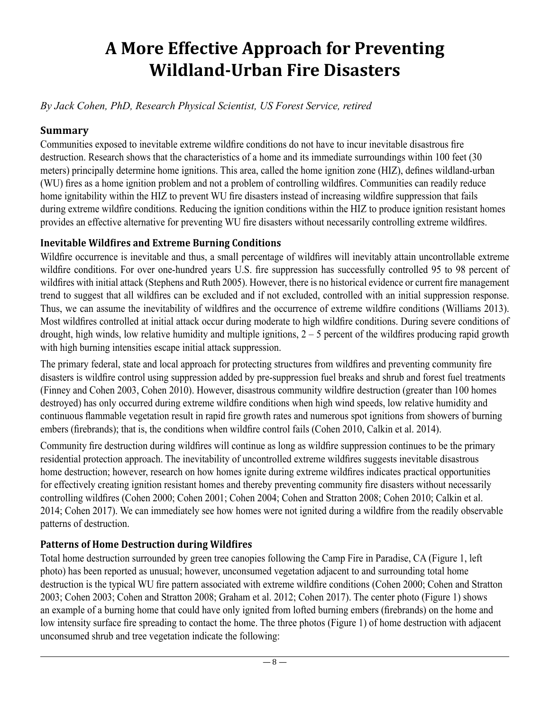# **A More Effective Approach for Preventing Wildland-Urban Fire Disasters**

*By Jack Cohen, PhD, Research Physical Scientist, US Forest Service, retired*

#### **Summary**

Communities exposed to inevitable extreme wildfire conditions do not have to incur inevitable disastrous fire destruction. Research shows that the characteristics of a home and its immediate surroundings within 100 feet (30 meters) principally determine home ignitions. This area, called the home ignition zone (HIZ), defines wildland-urban (WU) fires as a home ignition problem and not a problem of controlling wildfires. Communities can readily reduce home ignitability within the HIZ to prevent WU fire disasters instead of increasing wildfire suppression that fails during extreme wildfire conditions. Reducing the ignition conditions within the HIZ to produce ignition resistant homes provides an effective alternative for preventing WU fire disasters without necessarily controlling extreme wildfires.

## **Inevitable Wildfires and Extreme Burning Conditions**

Wildfire occurrence is inevitable and thus, a small percentage of wildfires will inevitably attain uncontrollable extreme wildfire conditions. For over one-hundred years U.S. fire suppression has successfully controlled 95 to 98 percent of wildfires with initial attack (Stephens and Ruth 2005). However, there is no historical evidence or current fire management trend to suggest that all wildfires can be excluded and if not excluded, controlled with an initial suppression response. Thus, we can assume the inevitability of wildfires and the occurrence of extreme wildfire conditions (Williams 2013). Most wildfires controlled at initial attack occur during moderate to high wildfire conditions. During severe conditions of drought, high winds, low relative humidity and multiple ignitions,  $2 - 5$  percent of the wildfires producing rapid growth with high burning intensities escape initial attack suppression.

The primary federal, state and local approach for protecting structures from wildfires and preventing community fire disasters is wildfire control using suppression added by pre-suppression fuel breaks and shrub and forest fuel treatments (Finney and Cohen 2003, Cohen 2010). However, disastrous community wildfire destruction (greater than 100 homes destroyed) has only occurred during extreme wildfire conditions when high wind speeds, low relative humidity and continuous flammable vegetation result in rapid fire growth rates and numerous spot ignitions from showers of burning embers (firebrands); that is, the conditions when wildfire control fails (Cohen 2010, Calkin et al. 2014).

Community fire destruction during wildfires will continue as long as wildfire suppression continues to be the primary residential protection approach. The inevitability of uncontrolled extreme wildfires suggests inevitable disastrous home destruction; however, research on how homes ignite during extreme wildfires indicates practical opportunities for effectively creating ignition resistant homes and thereby preventing community fire disasters without necessarily controlling wildfires (Cohen 2000; Cohen 2001; Cohen 2004; Cohen and Stratton 2008; Cohen 2010; Calkin et al. 2014; Cohen 2017). We can immediately see how homes were not ignited during a wildfire from the readily observable patterns of destruction.

## **Patterns of Home Destruction during Wildfires**

Total home destruction surrounded by green tree canopies following the Camp Fire in Paradise, CA (Figure 1, left photo) has been reported as unusual; however, unconsumed vegetation adjacent to and surrounding total home destruction is the typical WU fire pattern associated with extreme wildfire conditions (Cohen 2000; Cohen and Stratton 2003; Cohen 2003; Cohen and Stratton 2008; Graham et al. 2012; Cohen 2017). The center photo (Figure 1) shows an example of a burning home that could have only ignited from lofted burning embers (firebrands) on the home and low intensity surface fire spreading to contact the home. The three photos (Figure 1) of home destruction with adjacent unconsumed shrub and tree vegetation indicate the following: